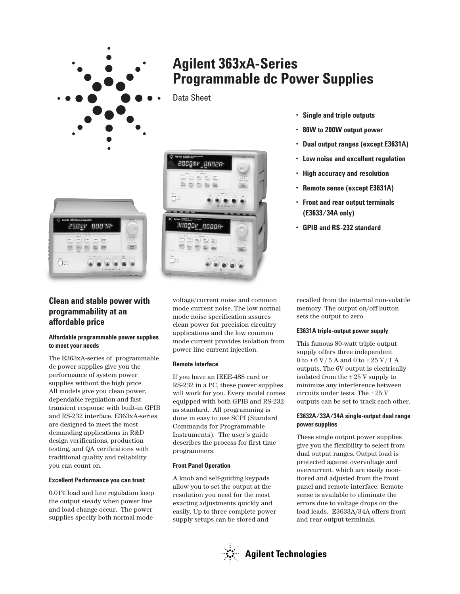

# **Agilent 363xA-Series Programmable dc Power Supplies**

Data Sheet



- **Single and triple outputs**
- **80W to 200W output power**
- **Dual output ranges (except E3631A)**
- **Low noise and excellent regulation**
- **High accuracy and resolution**
- **Remote sense (except E3631A)**
- **Front and rear output terminals (E3633/34A only)**
- **GPIB and RS-232 standard**



250W 0007R  $\boxed{-20\pi} \qquad \boxed{\text{True}} \qquad \boxed{\text{Data}}$ 

 $\Box$ :

## **Affordable programmable power supplies to meet your needs**

The E363xA-series of programmable dc power supplies give you the performance of system power supplies without the high price. All models give you clean power, dependable regulation and fast transient response with built-in GPIB and RS-232 interface. E363xA-series are designed to meet the most demanding applications in R&D design verifications, production testing, and QA verifications with traditional quality and reliability you can count on.

## **Excellent Performance you can trust**

0.01% load and line regulation keep the output steady when power line and load change occur. The power supplies specify both normal mode

voltage/current noise and common mode current noise. The low normal mode noise specification assures clean power for precision circuitry applications and the low common mode current provides isolation from power line current injection.

## **Remote Interface**

If you have an IEEE-488 card or RS-232 in a PC, these power supplies will work for you. Every model comes equipped with both GPIB and RS-232 as standard. All programming is done in easy to use SCPI (Standard Commands for Programmable Instruments). The user's guide describes the process for first time programmers.

## **Front Panel Operation**

A knob and self-guiding keypads allow you to set the output at the resolution you need for the most exacting adjustments quickly and easily. Up to three complete power supply setups can be stored and

recalled from the internal non-volatile memory. The output on/off button sets the output to zero.

## **E3631A triple-output power supply**

This famous 80-watt triple output supply offers three independent 0 to  $+6$  V/5 A and 0 to  $\pm 25$  V/1 A outputs. The 6V output is electrically isolated from the  $\pm 25$  V supply to minimize any interference between circuits under tests. The ± 25 V outputs can be set to track each other.

## **E3632A/33A/34A single-output dual range power supplies**

These single output power supplies give you the flexibility to select from dual output ranges. Output load is protected against overvoltage and overcurrent, which are easily monitored and adjusted from the front panel and remote interface. Remote sense is available to eliminate the errors due to voltage drops on the load leads. E3633A/34A offers front and rear output terminals.

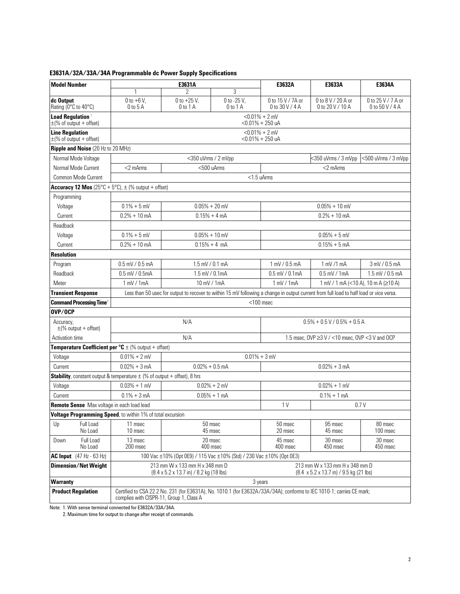# **E3631A/32A/33A/34A Programmable dc Power Supply Specifications**

| <b>Model Number</b>                                                                  | E3631A                                                                                                                                                                     |                                 |                             | E3632A                                          | E3633A                                 | E3634A                                |
|--------------------------------------------------------------------------------------|----------------------------------------------------------------------------------------------------------------------------------------------------------------------------|---------------------------------|-----------------------------|-------------------------------------------------|----------------------------------------|---------------------------------------|
|                                                                                      |                                                                                                                                                                            |                                 | 3                           |                                                 |                                        |                                       |
| dc Output<br>Rating (0°C to 40°C)                                                    | $0$ to +6 V,<br>$0$ to $5$ A                                                                                                                                               | $0$ to $+25$ V,<br>$0$ to $1$ A | 0 to -25 V,<br>$0$ to $1$ A | 0 to 15 V / 7A or<br>0 to 30 V / 4 A            | 0 to 8 V / 20 A or<br>0 to 20 V / 10 A | 0 to 25 V / 7 A or<br>0 to 50 V / 4 A |
| Load Regulation <sup>1</sup><br>$\pm$ (% of output + offset)                         | $< 0.01\% + 2$ mV<br>$<$ 0.01% + 250 uA                                                                                                                                    |                                 |                             |                                                 |                                        |                                       |
| <b>Line Regulation</b><br>$\pm$ (% of output + offset)                               | $< 0.01\% + 2$ mV<br><0.01% + 250 uA                                                                                                                                       |                                 |                             |                                                 |                                        |                                       |
| Ripple and Noise (20 Hz to 20 MHz)                                                   |                                                                                                                                                                            |                                 |                             |                                                 |                                        |                                       |
| Normal Mode Voltage                                                                  |                                                                                                                                                                            | <350 uVrms / 2 mVpp             |                             | <350 uVrms / 3 mVpp<br><500 uVrms / 3 mVpp      |                                        |                                       |
| Normal Mode Current                                                                  | $<$ 2 m $Arms$                                                                                                                                                             | $< 500$ uArms                   |                             | $<$ 2 m $Arms$                                  |                                        |                                       |
| Common Mode Current                                                                  | <1.5 uArms                                                                                                                                                                 |                                 |                             |                                                 |                                        |                                       |
| Accuracy 12 Mos $(25^{\circ}C + 5^{\circ}C)$ , $\pm$ (% output + offset)             |                                                                                                                                                                            |                                 |                             |                                                 |                                        |                                       |
| Programming                                                                          |                                                                                                                                                                            |                                 |                             |                                                 |                                        |                                       |
| Voltage                                                                              | $0.1\% + 5$ mV                                                                                                                                                             | $0.05% + 20$ mV                 |                             | $0.05% + 10$ mV                                 |                                        |                                       |
| Current                                                                              | $0.2% + 10$ mA                                                                                                                                                             | $0.15% + 4 mA$                  |                             | $0.2% + 10$ mA                                  |                                        |                                       |
| Readback                                                                             |                                                                                                                                                                            |                                 |                             |                                                 |                                        |                                       |
| Voltage                                                                              | $0.1\% + 5$ mV                                                                                                                                                             | $0.05% + 10$ mV                 |                             | $0.05% + 5$ mV                                  |                                        |                                       |
| Current                                                                              | $0.2% + 10$ mA                                                                                                                                                             | $0.15% + 4$ mA                  |                             | $0.15% + 5mA$                                   |                                        |                                       |
| <b>Resolution</b>                                                                    |                                                                                                                                                                            |                                 |                             |                                                 |                                        |                                       |
| Program                                                                              | $0.5$ mV / $0.5$ mA                                                                                                                                                        | $1.5$ mV / 0.1 mA               |                             | 1 mV / 0.5 mA                                   | $1$ mV $/1$ mA                         | 3 mV / 0.5 mA                         |
| Readback                                                                             | $0.5$ mV / $0.5$ mA                                                                                                                                                        | 1.5 mV / 0.1 mA                 |                             | $0.5$ mV / $0.1$ mA                             | $0.5$ mV / 1mA                         | 1.5 mV / 0.5 mA                       |
| Meter                                                                                | 1 mV / 1 mA                                                                                                                                                                | 10 mV / 1mA                     |                             | $1$ mV $/1$ mA                                  | 1 mV / 1 mA (<10 A), 10 m A (≥10 A)    |                                       |
| <b>Transient Response</b>                                                            | Less than 50 usec for output to recover to within 15 mV following a change in output current from full load to half load or vice versa.                                    |                                 |                             |                                                 |                                        |                                       |
| <b>Command Processing Time<sup>2</sup></b>                                           | $<$ 100 msec                                                                                                                                                               |                                 |                             |                                                 |                                        |                                       |
| OVP/OCP                                                                              |                                                                                                                                                                            |                                 |                             |                                                 |                                        |                                       |
| Accuracy,<br>$\pm$ (% output + offset)                                               | N/A                                                                                                                                                                        |                                 |                             | $0.5\% + 0.5$ V / 0.5% + 0.5 A                  |                                        |                                       |
| Activation time                                                                      | N/A                                                                                                                                                                        |                                 |                             | 1.5 msec, OVP ≥3 V / <10 msec, OVP <3 V and OCP |                                        |                                       |
| <b>Temperature Coefficient per °C</b> $\pm$ (% output + offset)                      |                                                                                                                                                                            |                                 |                             |                                                 |                                        |                                       |
| Voltage                                                                              | $0.01\% + 2$ mV<br>$0.01\% + 3$ mV                                                                                                                                         |                                 |                             |                                                 |                                        |                                       |
| Current                                                                              | $0.02% + 3 mA$<br>$0.02\% + 0.5$ mA                                                                                                                                        |                                 |                             | $0.02% + 3 mA$                                  |                                        |                                       |
| <b>Stability</b> , constant output & temperature $\pm$ (% of output + offset), 8 hrs |                                                                                                                                                                            |                                 |                             |                                                 |                                        |                                       |
| Voltage                                                                              | $0.03% + 1$ mV                                                                                                                                                             |                                 | $0.02% + 2$ mV              | $0.02% + 1$ mV                                  |                                        |                                       |
| Current                                                                              | $0.1% + 3mA$                                                                                                                                                               | $0.05% + 1 mA$                  |                             | $0.1\% + 1$ mA                                  |                                        |                                       |
| 1 <sub>V</sub><br>0.7V<br>Remote Sense Max voltage in each load lead                 |                                                                                                                                                                            |                                 |                             |                                                 |                                        |                                       |
| Voltage Programming Speed, to within 1% of total excursion                           |                                                                                                                                                                            |                                 |                             |                                                 |                                        |                                       |
| Up<br>Full Load<br>No Load                                                           | 11 msec<br>10 msec                                                                                                                                                         |                                 | 50 msec<br>45 msec          | 50 msec<br>20 msec                              | 95 msec<br>45 msec                     | 80 msec<br>100 msec                   |
| Full Load<br>Down<br>No Load                                                         | 13 msec<br>200 msec                                                                                                                                                        |                                 | 20 msec<br>400 msec         | 45 msec<br>400 msec                             | 30 msec<br>450 msec                    | 30 msec<br>450 msec                   |
| <b>AC Input</b> (47 Hz - 63 Hz)                                                      | 100 Vac ±10% (Opt 0E9) / 115 Vac ±10% (Std) / 230 Vac ±10% (Opt 0E3)                                                                                                       |                                 |                             |                                                 |                                        |                                       |
| <b>Dimension/Net Weight</b>                                                          | 213 mm W x 133 mm H x 348 mm D<br>213 mm W x 133 mm H x 348 mm D<br>$(8.4 \times 5.2 \times 13.7 \text{ in})$ / 8.2 kg (18 lbs)<br>(8.4 x 5.2 x 13.7 in) / 9.5 kg (21 lbs) |                                 |                             |                                                 |                                        |                                       |
| <b>Warranty</b>                                                                      | 3 years                                                                                                                                                                    |                                 |                             |                                                 |                                        |                                       |
| <b>Product Regulation</b>                                                            | Certified to CSA 22.2 No. 231 (for E3631A), No. 1010.1 (for E3632A/33A/34A); conforms to IEC 1010-1; carries CE mark;<br>complies with CISPR-11, Group 1, Class A          |                                 |                             |                                                 |                                        |                                       |

Note: 1. With sense terminal connected for E3632A/33A/34A.

2. Maximum time for output to change after receipt of commands.